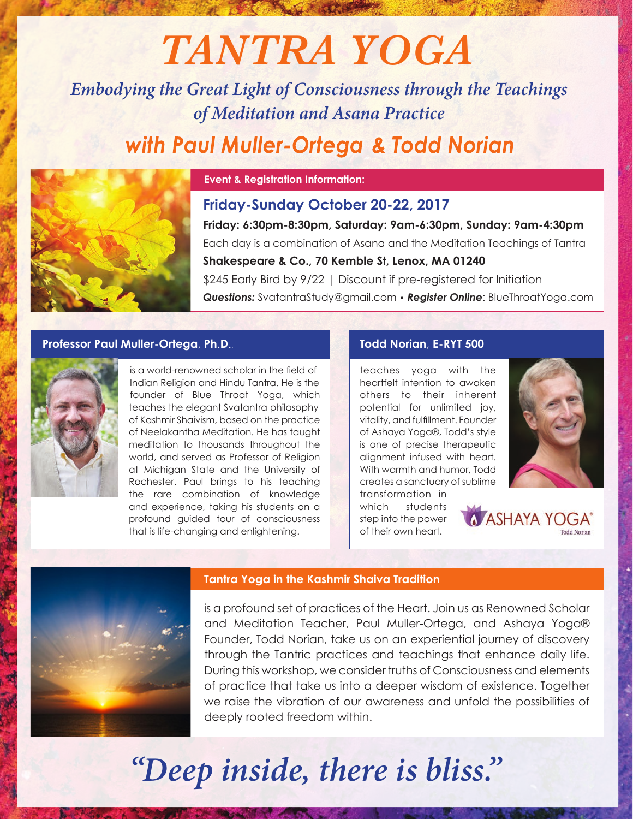# *TANTRA YOGA*

*Embodying the Great Light of Consciousness through the Teachings of Meditation and Asana Practice*

# with Paul Muller-Ortega & Todd Norian



#### **Event & Registration Information:**

# **Friday: 6:30pm-8:30pm, Saturday: 9am-6:30pm, Sunday: 9am-4:30pm** Each day is a combination of Asana and the Meditation Teachings of Tantra **Shakespeare & Co., 70 Kemble St, Lenox, MA 01240** \$245 Early Bird by 9/22 | Discount if pre-registered for Initiation *Questions:* SvatantraStudy@gmail.com • *Register Online*: BlueThroatYoga.com **Friday-Sunday October 20-22, 2017**

### **Professor Paul Muller-Ortega**, **Ph**.**D**.,



is a world-renowned scholar in the field of Indian Religion and Hindu Tantra. He is the founder of Blue Throat Yoga, which teaches the elegant Svatantra philosophy of Kashmir Shaivism, based on the practice of Neelakantha Meditation. He has taught meditation to thousands throughout the world, and served as Professor of Religion at Michigan State and the University of Rochester. Paul brings to his teaching the rare combination of knowledge and experience, taking his students on a profound guided tour of consciousness that is life-changing and enlightening.

### **Todd Norian**, **E-RYT 500**

teaches yoga with the heartfelt intention to awaken others to their inherent potential for unlimited joy, vitality, and fulfillment. Founder of Ashaya Yoga®, Todd's style is one of precise therapeutic alignment infused with heart. With warmth and humor, Todd creates a sanctuary of sublime

transformation in which students step into the power of their own heart.



**MASHAYA YOGA** 



#### **Tantra Yoga in the Kashmir Shaiva Tradition**

is a profound set of practices of the Heart. Join us as Renowned Scholar and Meditation Teacher, Paul Muller-Ortega, and Ashaya Yoga® Founder, Todd Norian, take us on an experiential journey of discovery through the Tantric practices and teachings that enhance daily life. During this workshop, we consider truths of Consciousness and elements of practice that take us into a deeper wisdom of existence. Together we raise the vibration of our awareness and unfold the possibilities of deeply rooted freedom within.

# *"Deep inside, there is bliss."*